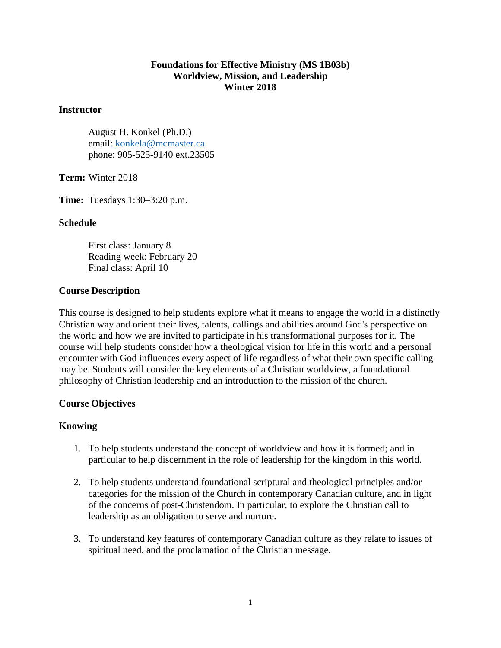## **Foundations for Effective Ministry (MS 1B03b) Worldview, Mission, and Leadership Winter 2018**

#### **Instructor**

August H. Konkel (Ph.D.) email: [konkela@mcmaster.ca](mailto:konkela@mcmaster.ca) phone: 905-525-9140 ext.23505

**Term:** Winter 2018

**Time:** Tuesdays 1:30–3:20 p.m.

### **Schedule**

First class: January 8 Reading week: February 20 Final class: April 10

#### **Course Description**

This course is designed to help students explore what it means to engage the world in a distinctly Christian way and orient their lives, talents, callings and abilities around God's perspective on the world and how we are invited to participate in his transformational purposes for it. The course will help students consider how a theological vision for life in this world and a personal encounter with God influences every aspect of life regardless of what their own specific calling may be. Students will consider the key elements of a Christian worldview, a foundational philosophy of Christian leadership and an introduction to the mission of the church.

### **Course Objectives**

### **Knowing**

- 1. To help students understand the concept of worldview and how it is formed; and in particular to help discernment in the role of leadership for the kingdom in this world.
- 2. To help students understand foundational scriptural and theological principles and/or categories for the mission of the Church in contemporary Canadian culture, and in light of the concerns of post-Christendom. In particular, to explore the Christian call to leadership as an obligation to serve and nurture.
- 3. To understand key features of contemporary Canadian culture as they relate to issues of spiritual need, and the proclamation of the Christian message.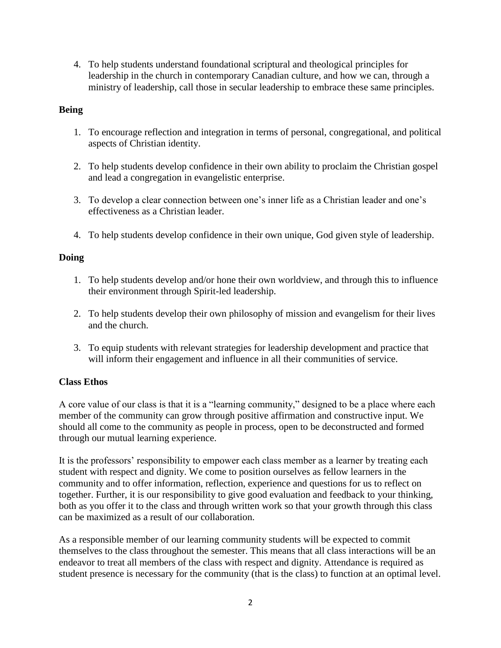4. To help students understand foundational scriptural and theological principles for leadership in the church in contemporary Canadian culture, and how we can, through a ministry of leadership, call those in secular leadership to embrace these same principles.

## **Being**

- 1. To encourage reflection and integration in terms of personal, congregational, and political aspects of Christian identity.
- 2. To help students develop confidence in their own ability to proclaim the Christian gospel and lead a congregation in evangelistic enterprise.
- 3. To develop a clear connection between one's inner life as a Christian leader and one's effectiveness as a Christian leader.
- 4. To help students develop confidence in their own unique, God given style of leadership.

## **Doing**

- 1. To help students develop and/or hone their own worldview, and through this to influence their environment through Spirit-led leadership.
- 2. To help students develop their own philosophy of mission and evangelism for their lives and the church.
- 3. To equip students with relevant strategies for leadership development and practice that will inform their engagement and influence in all their communities of service.

# **Class Ethos**

A core value of our class is that it is a "learning community," designed to be a place where each member of the community can grow through positive affirmation and constructive input. We should all come to the community as people in process, open to be deconstructed and formed through our mutual learning experience.

It is the professors' responsibility to empower each class member as a learner by treating each student with respect and dignity. We come to position ourselves as fellow learners in the community and to offer information, reflection, experience and questions for us to reflect on together. Further, it is our responsibility to give good evaluation and feedback to your thinking, both as you offer it to the class and through written work so that your growth through this class can be maximized as a result of our collaboration.

As a responsible member of our learning community students will be expected to commit themselves to the class throughout the semester. This means that all class interactions will be an endeavor to treat all members of the class with respect and dignity. Attendance is required as student presence is necessary for the community (that is the class) to function at an optimal level.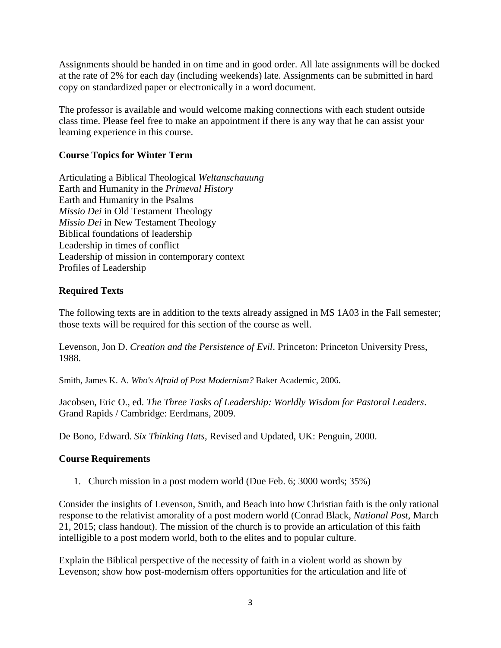Assignments should be handed in on time and in good order. All late assignments will be docked at the rate of 2% for each day (including weekends) late. Assignments can be submitted in hard copy on standardized paper or electronically in a word document.

The professor is available and would welcome making connections with each student outside class time. Please feel free to make an appointment if there is any way that he can assist your learning experience in this course.

# **Course Topics for Winter Term**

Articulating a Biblical Theological *Weltanschauung* Earth and Humanity in the *Primeval History* Earth and Humanity in the Psalms *Missio Dei* in Old Testament Theology *Missio Dei* in New Testament Theology Biblical foundations of leadership Leadership in times of conflict Leadership of mission in contemporary context Profiles of Leadership

# **Required Texts**

The following texts are in addition to the texts already assigned in MS 1A03 in the Fall semester; those texts will be required for this section of the course as well.

Levenson, Jon D. *Creation and the Persistence of Evil*. Princeton: Princeton University Press, 1988.

Smith, James K. A. *Who's Afraid of Post Modernism?* Baker Academic, 2006.

Jacobsen, Eric O., ed. *The Three Tasks of Leadership: Worldly Wisdom for Pastoral Leaders*. Grand Rapids / Cambridge: Eerdmans, 2009.

De Bono, Edward. *Six Thinking Hats*, Revised and Updated, UK: Penguin, 2000.

# **Course Requirements**

1. Church mission in a post modern world (Due Feb. 6; 3000 words; 35%)

Consider the insights of Levenson, Smith, and Beach into how Christian faith is the only rational response to the relativist amorality of a post modern world (Conrad Black, *National Post*, March 21, 2015; class handout). The mission of the church is to provide an articulation of this faith intelligible to a post modern world, both to the elites and to popular culture.

Explain the Biblical perspective of the necessity of faith in a violent world as shown by Levenson; show how post-modernism offers opportunities for the articulation and life of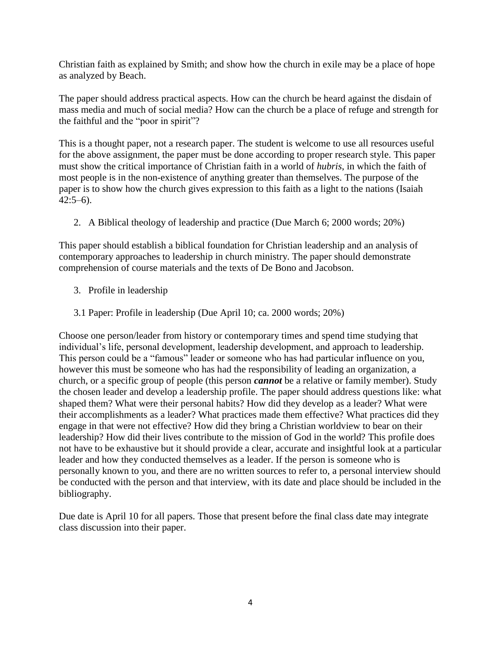Christian faith as explained by Smith; and show how the church in exile may be a place of hope as analyzed by Beach.

The paper should address practical aspects. How can the church be heard against the disdain of mass media and much of social media? How can the church be a place of refuge and strength for the faithful and the "poor in spirit"?

This is a thought paper, not a research paper. The student is welcome to use all resources useful for the above assignment, the paper must be done according to proper research style. This paper must show the critical importance of Christian faith in a world of *hubris*, in which the faith of most people is in the non-existence of anything greater than themselves. The purpose of the paper is to show how the church gives expression to this faith as a light to the nations (Isaiah  $42:5-6$ ).

2. A Biblical theology of leadership and practice (Due March 6; 2000 words; 20%)

This paper should establish a biblical foundation for Christian leadership and an analysis of contemporary approaches to leadership in church ministry. The paper should demonstrate comprehension of course materials and the texts of De Bono and Jacobson.

- 3. Profile in leadership
- 3.1 Paper: Profile in leadership (Due April 10; ca. 2000 words; 20%)

Choose one person/leader from history or contemporary times and spend time studying that individual's life, personal development, leadership development, and approach to leadership. This person could be a "famous" leader or someone who has had particular influence on you, however this must be someone who has had the responsibility of leading an organization, a church, or a specific group of people (this person *cannot* be a relative or family member). Study the chosen leader and develop a leadership profile. The paper should address questions like: what shaped them? What were their personal habits? How did they develop as a leader? What were their accomplishments as a leader? What practices made them effective? What practices did they engage in that were not effective? How did they bring a Christian worldview to bear on their leadership? How did their lives contribute to the mission of God in the world? This profile does not have to be exhaustive but it should provide a clear, accurate and insightful look at a particular leader and how they conducted themselves as a leader. If the person is someone who is personally known to you, and there are no written sources to refer to, a personal interview should be conducted with the person and that interview, with its date and place should be included in the bibliography.

Due date is April 10 for all papers. Those that present before the final class date may integrate class discussion into their paper.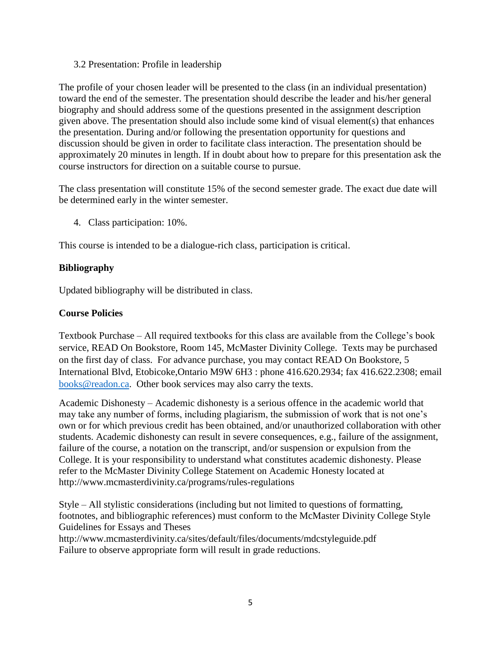3.2 Presentation: Profile in leadership

The profile of your chosen leader will be presented to the class (in an individual presentation) toward the end of the semester. The presentation should describe the leader and his/her general biography and should address some of the questions presented in the assignment description given above. The presentation should also include some kind of visual element(s) that enhances the presentation. During and/or following the presentation opportunity for questions and discussion should be given in order to facilitate class interaction. The presentation should be approximately 20 minutes in length. If in doubt about how to prepare for this presentation ask the course instructors for direction on a suitable course to pursue.

The class presentation will constitute 15% of the second semester grade. The exact due date will be determined early in the winter semester.

4. Class participation: 10%.

This course is intended to be a dialogue-rich class, participation is critical.

# **Bibliography**

Updated bibliography will be distributed in class.

# **Course Policies**

Textbook Purchase – All required textbooks for this class are available from the College's book service, READ On Bookstore, Room 145, McMaster Divinity College. Texts may be purchased on the first day of class. For advance purchase, you may contact READ On Bookstore, 5 International Blvd, Etobicoke,Ontario M9W 6H3 : phone 416.620.2934; fax 416.622.2308; email [books@readon.ca.](mailto:books@readon.ca) Other book services may also carry the texts.

Academic Dishonesty – Academic dishonesty is a serious offence in the academic world that may take any number of forms, including plagiarism, the submission of work that is not one's own or for which previous credit has been obtained, and/or unauthorized collaboration with other students. Academic dishonesty can result in severe consequences, e.g., failure of the assignment, failure of the course, a notation on the transcript, and/or suspension or expulsion from the College. It is your responsibility to understand what constitutes academic dishonesty. Please refer to the McMaster Divinity College Statement on Academic Honesty located at http://www.mcmasterdivinity.ca/programs/rules-regulations

Style – All stylistic considerations (including but not limited to questions of formatting, footnotes, and bibliographic references) must conform to the McMaster Divinity College Style Guidelines for Essays and Theses

http://www.mcmasterdivinity.ca/sites/default/files/documents/mdcstyleguide.pdf Failure to observe appropriate form will result in grade reductions.